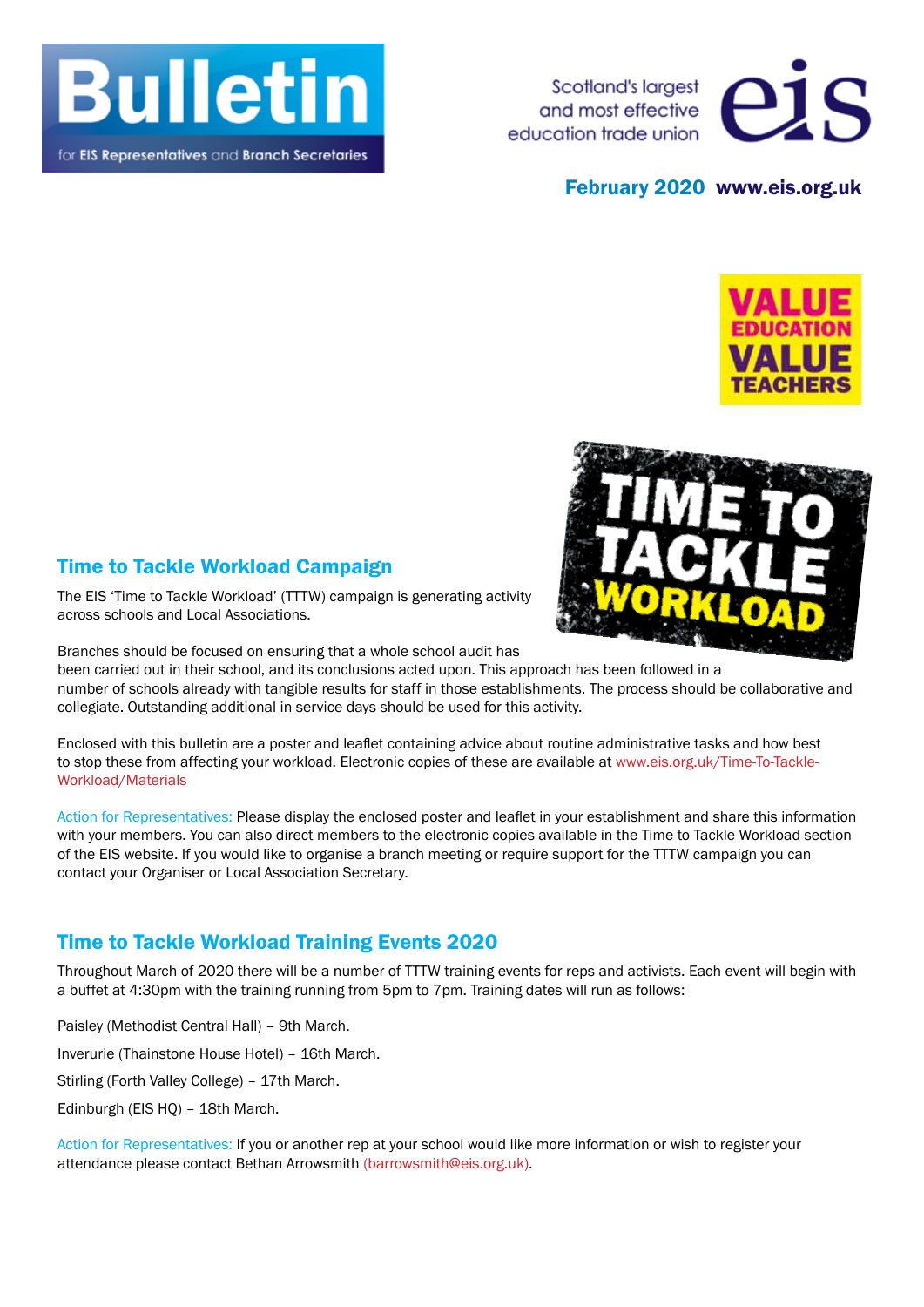

for EIS Representatives and Branch Secretaries

Scotland's largest and most effective education trade union



#### February 2020 www.eis.org.uk





### Time to Tackle Workload Campaign

The EIS 'Time to Tackle Workload' (TTTW) campaign is generating activity across schools and Local Associations.

Branches should be focused on ensuring that a whole school audit has

been carried out in their school, and its conclusions acted upon. This approach has been followed in a number of schools already with tangible results for staff in those establishments. The process should be collaborative and collegiate. Outstanding additional in-service days should be used for this activity.

Enclosed with this bulletin are a poster and leaflet containing advice about routine administrative tasks and how best to stop these from affecting your workload. Electronic copies of these are available at www.eis.org.uk/Time-To-Tackle-Workload/Materials

Action for Representatives: Please display the enclosed poster and leaflet in your establishment and share this information with your members. You can also direct members to the electronic copies available in the Time to Tackle Workload section of the EIS website. If you would like to organise a branch meeting or require support for the TTTW campaign you can contact your Organiser or Local Association Secretary.

## Time to Tackle Workload Training Events 2020

Throughout March of 2020 there will be a number of TTTW training events for reps and activists. Each event will begin with a buffet at 4:30pm with the training running from 5pm to 7pm. Training dates will run as follows:

Paisley (Methodist Central Hall) – 9th March.

Inverurie (Thainstone House Hotel) – 16th March.

Stirling (Forth Valley College) – 17th March.

Edinburgh (EIS HQ) – 18th March.

Action for Representatives: If you or another rep at your school would like more information or wish to register your attendance please contact Bethan Arrowsmith (barrowsmith@eis.org.uk).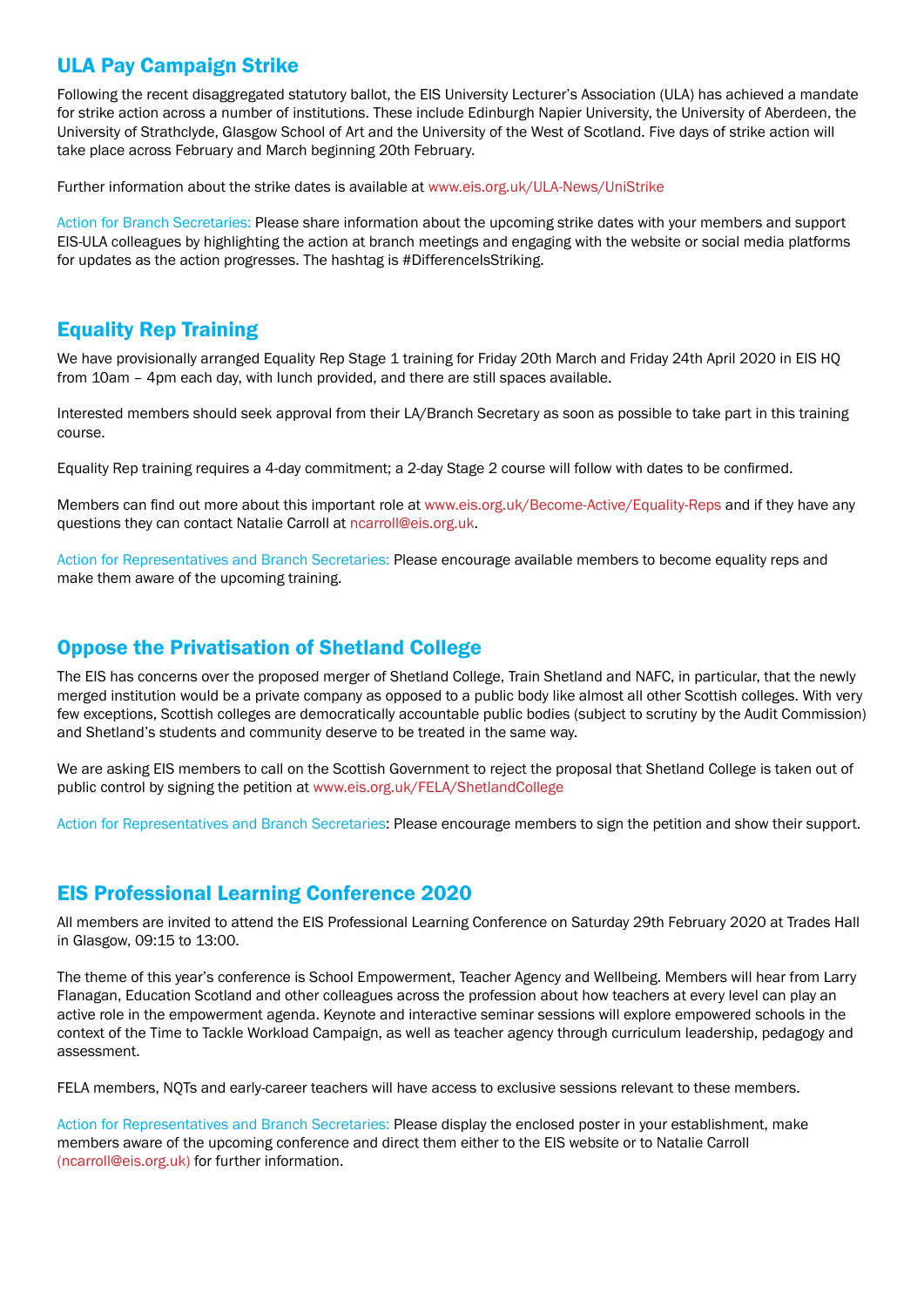## ULA Pay Campaign Strike

Following the recent disaggregated statutory ballot, the EIS University Lecturer's Association (ULA) has achieved a mandate for strike action across a number of institutions. These include Edinburgh Napier University, the University of Aberdeen, the University of Strathclyde, Glasgow School of Art and the University of the West of Scotland. Five days of strike action will take place across February and March beginning 20th February.

Further information about the strike dates is available at www.eis.org.uk/ULA-News/UniStrike

Action for Branch Secretaries: Please share information about the upcoming strike dates with your members and support EIS-ULA colleagues by highlighting the action at branch meetings and engaging with the website or social media platforms for updates as the action progresses. The hashtag is #DifferenceIsStriking.

# Equality Rep Training

We have provisionally arranged Equality Rep Stage 1 training for Friday 20th March and Friday 24th April 2020 in EIS HQ from 10am – 4pm each day, with lunch provided, and there are still spaces available.

Interested members should seek approval from their LA/Branch Secretary as soon as possible to take part in this training course.

Equality Rep training requires a 4-day commitment; a 2-day Stage 2 course will follow with dates to be confirmed.

Members can find out more about this important role at www.eis.org.uk/Become-Active/Equality-Reps and if they have any questions they can contact Natalie Carroll at ncarroll@eis.org.uk.

Action for Representatives and Branch Secretaries: Please encourage available members to become equality reps and make them aware of the upcoming training.

### Oppose the Privatisation of Shetland College

The EIS has concerns over the proposed merger of Shetland College, Train Shetland and NAFC, in particular, that the newly merged institution would be a private company as opposed to a public body like almost all other Scottish colleges. With very few exceptions, Scottish colleges are democratically accountable public bodies (subject to scrutiny by the Audit Commission) and Shetland's students and community deserve to be treated in the same way.

We are asking EIS members to call on the Scottish Government to reject the proposal that Shetland College is taken out of public control by signing the petition at www.eis.org.uk/FELA/ShetlandCollege

Action for Representatives and Branch Secretaries: Please encourage members to sign the petition and show their support.

## EIS Professional Learning Conference 2020

All members are invited to attend the EIS Professional Learning Conference on Saturday 29th February 2020 at Trades Hall in Glasgow, 09:15 to 13:00.

The theme of this year's conference is School Empowerment, Teacher Agency and Wellbeing. Members will hear from Larry Flanagan, Education Scotland and other colleagues across the profession about how teachers at every level can play an active role in the empowerment agenda. Keynote and interactive seminar sessions will explore empowered schools in the context of the Time to Tackle Workload Campaign, as well as teacher agency through curriculum leadership, pedagogy and assessment.

FELA members, NQTs and early-career teachers will have access to exclusive sessions relevant to these members.

Action for Representatives and Branch Secretaries: Please display the enclosed poster in your establishment, make members aware of the upcoming conference and direct them either to the EIS website or to Natalie Carroll (ncarroll@eis.org.uk) for further information.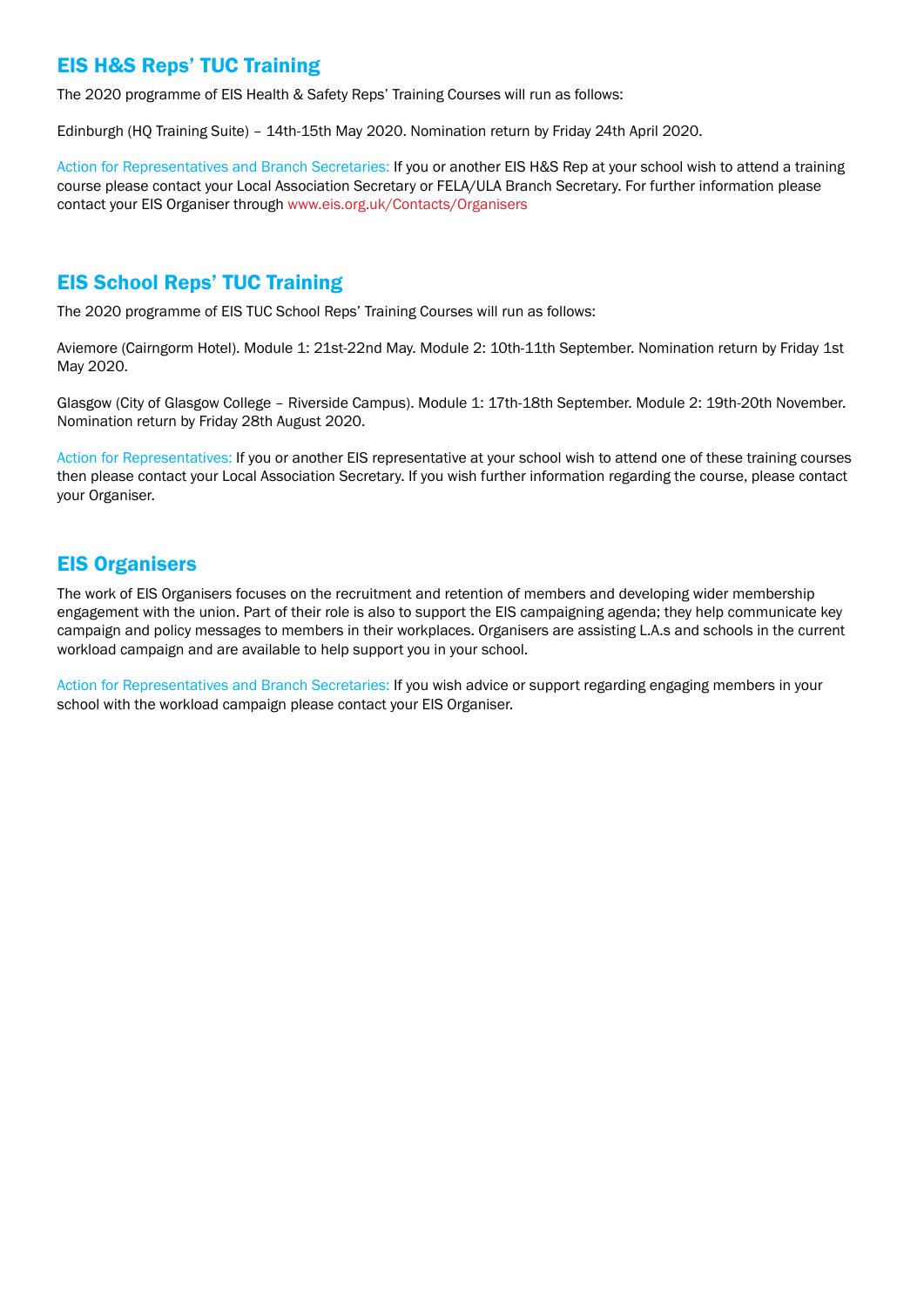## EIS H&S Reps' TUC Training

The 2020 programme of EIS Health & Safety Reps' Training Courses will run as follows:

Edinburgh (HQ Training Suite) – 14th-15th May 2020. Nomination return by Friday 24th April 2020.

Action for Representatives and Branch Secretaries: If you or another EIS H&S Rep at your school wish to attend a training course please contact your Local Association Secretary or FELA/ULA Branch Secretary. For further information please contact your EIS Organiser through www.eis.org.uk/Contacts/Organisers

#### EIS School Reps' TUC Training

The 2020 programme of EIS TUC School Reps' Training Courses will run as follows:

Aviemore (Cairngorm Hotel). Module 1: 21st-22nd May. Module 2: 10th-11th September. Nomination return by Friday 1st May 2020.

Glasgow (City of Glasgow College – Riverside Campus). Module 1: 17th-18th September. Module 2: 19th-20th November. Nomination return by Friday 28th August 2020.

Action for Representatives: If you or another EIS representative at your school wish to attend one of these training courses then please contact your Local Association Secretary. If you wish further information regarding the course, please contact your Organiser.

### EIS Organisers

The work of EIS Organisers focuses on the recruitment and retention of members and developing wider membership engagement with the union. Part of their role is also to support the EIS campaigning agenda; they help communicate key campaign and policy messages to members in their workplaces. Organisers are assisting L.A.s and schools in the current workload campaign and are available to help support you in your school.

Action for Representatives and Branch Secretaries: If you wish advice or support regarding engaging members in your school with the workload campaign please contact your EIS Organiser.